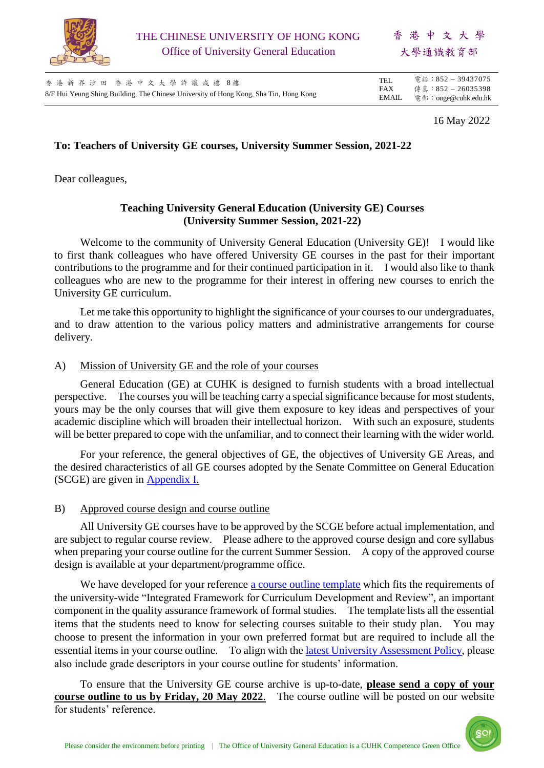

THE CHINESE UNIVERSITY OF HONG KONG

Office of University General Education

香 港 中 文 大 學

大學通識教育部

| 香港新界沙田 香港中文大學許讓成樓 8樓                                                                  | TEI. | 電話:852 – 39437075                |
|---------------------------------------------------------------------------------------|------|----------------------------------|
| 8/F Hui Yeung Shing Building, The Chinese University of Hong Kong, Sha Tin, Hong Kong | FAX  | 偉真:852 – 26035398                |
|                                                                                       |      | <b>EMAIL</b> 電郵:ouge@cuhk.edu.hk |

16 May 2022

# **To: Teachers of University GE courses, University Summer Session, 2021-22**

Dear colleagues,

# **Teaching University General Education (University GE) Courses (University Summer Session, 2021-22)**

Welcome to the community of University General Education (University GE)! I would like to first thank colleagues who have offered University GE courses in the past for their important contributions to the programme and for their continued participation in it. I would also like to thank colleagues who are new to the programme for their interest in offering new courses to enrich the University GE curriculum.

Let me take this opportunity to highlight the significance of your courses to our undergraduates, and to draw attention to the various policy matters and administrative arrangements for course delivery.

### A) Mission of University GE and the role of your courses

General Education (GE) at CUHK is designed to furnish students with a broad intellectual perspective. The courses you will be teaching carry a special significance because for most students, yours may be the only courses that will give them exposure to key ideas and perspectives of your academic discipline which will broaden their intellectual horizon. With such an exposure, students will be better prepared to cope with the unfamiliar, and to connect their learning with the wider world.

For your reference, the general objectives of GE, the objectives of University GE Areas, and the desired characteristics of all GE courses adopted by the Senate Committee on General Education (SCGE) are given in [Appendix I.](#page-3-0) 

#### B) Approved course design and course outline

All University GE courses have to be approved by the SCGE before actual implementation, and are subject to regular course review. Please adhere to the approved course design and core syllabus when preparing your course outline for the current Summer Session. A copy of the approved course design is available at your department/programme office.

We have developed for your reference [a course outline template](http://www.oge.cuhk.edu.hk/oge_media/uge/OGE_Doc/forms_download_staff/GE_course_outline_template.doc) which fits the requirements of the university-wide "Integrated Framework for Curriculum Development and Review", an important component in the quality assurance framework of formal studies. The template lists all the essential items that the students need to know for selecting courses suitable to their study plan. You may choose to present the information in your own preferred format but are required to include all the essential items in your course outline. To align with th[e latest University Assessment Policy,](http://www.cuhk.edu.hk/clear/qm/A5-1.pdf) please also include grade descriptors in your course outline for students' information.

To ensure that the University GE course archive is up-to-date, **please send a copy of your course outline to us by Friday, 20 May 2022**. The course outline will be posted on our website for students' reference.

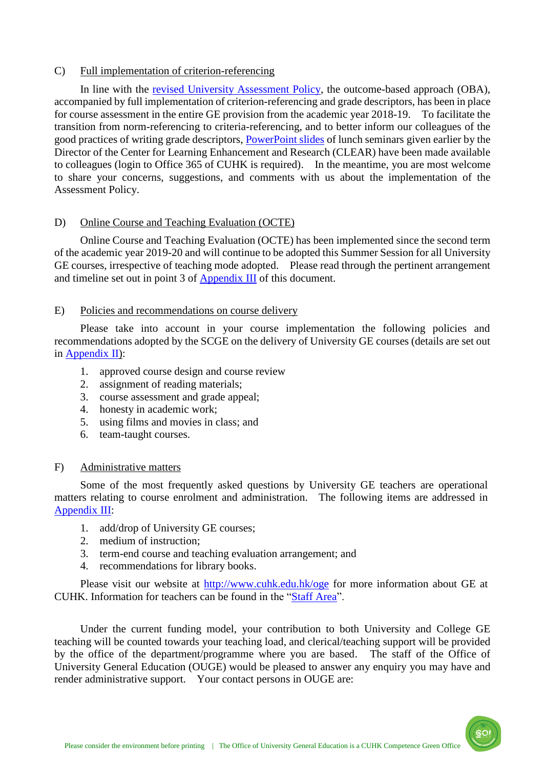# C) Full implementation of criterion-referencing

In line with the [revised University Assessment Policy,](http://www.cuhk.edu.hk/clear/qm/A5-1.pdf) the outcome-based approach (OBA), accompanied by full implementation of criterion-referencing and grade descriptors, has been in place for course assessment in the entire GE provision from the academic year 2018-19. To facilitate the transition from norm-referencing to criteria-referencing, and to better inform our colleagues of the good practices of writing grade descriptors, [PowerPoint slides](https://gocuhk-my.sharepoint.com/:f:/g/personal/oge_cuhk_edu_hk/EnWkw-wBEeREuaMWFMLGwcEBRNKgqwu1iGZF1tnB3bJUZA?e=8Gk7lx) of lunch seminars given earlier by the Director of the Center for Learning Enhancement and Research (CLEAR) have been made available to colleagues (login to Office 365 of CUHK is required). In the meantime, you are most welcome to share your concerns, suggestions, and comments with us about the implementation of the Assessment Policy.

# D) Online Course and Teaching Evaluation (OCTE)

Online Course and Teaching Evaluation (OCTE) has been implemented since the second term of the academic year 2019-20 and will continue to be adopted this Summer Session for all University GE courses, irrespective of teaching mode adopted. Please read through the pertinent arrangement and timeline set out in point 3 of [Appendix III](#page-9-0) of this document.

### E) Policies and recommendations on course delivery

Please take into account in your course implementation the following policies and recommendations adopted by the SCGE on the delivery of University GE courses (details are set out in [Appendix II\)](#page-6-0):

- 1. approved course design and course review
- 2. assignment of reading materials;
- 3. course assessment and grade appeal;
- 4. honesty in academic work;
- 5. using films and movies in class; and
- 6. team-taught courses.

#### F) Administrative matters

Some of the most frequently asked questions by University GE teachers are operational matters relating to course enrolment and administration. The following items are addressed in [Appendix III:](#page-9-0)

- 1. add/drop of University GE courses;
- 2. medium of instruction;
- 3. term-end course and teaching evaluation arrangement; and
- 4. recommendations for library books.

Please visit our website at<http://www.cuhk.edu.hk/oge> for more information about GE at CUHK. Information for teachers can be found in the ["Staff Area"](http://www.oge.cuhk.edu.hk/index.php/en/teaching-a-learning/2011-07-04-07-54-58/).

Under the current funding model, your contribution to both University and College GE teaching will be counted towards your teaching load, and clerical/teaching support will be provided by the office of the department/programme where you are based. The staff of the Office of University General Education (OUGE) would be pleased to answer any enquiry you may have and render administrative support. Your contact persons in OUGE are: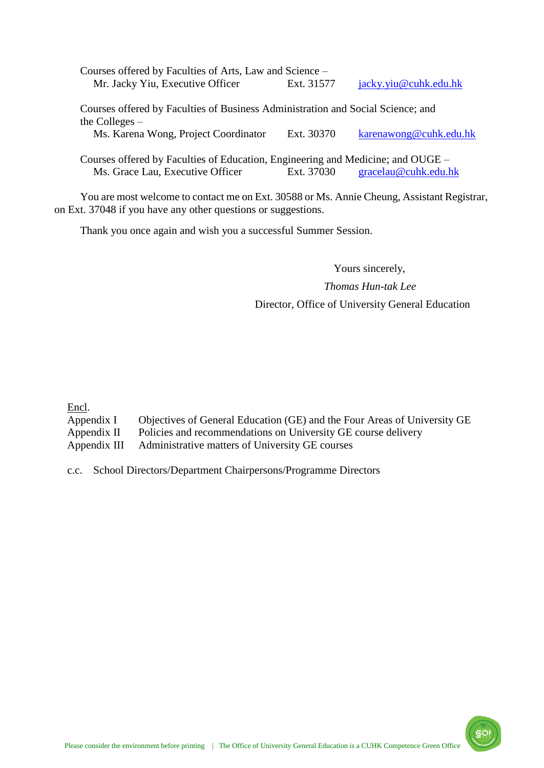| Courses offered by Faculties of Arts, Law and Science –                                                                                                                             |            |                       |  |  |
|-------------------------------------------------------------------------------------------------------------------------------------------------------------------------------------|------------|-----------------------|--|--|
| Mr. Jacky Yiu, Executive Officer                                                                                                                                                    | Ext. 31577 | jacky.yiu@cuhk.edu.hk |  |  |
| Courses offered by Faculties of Business Administration and Social Science; and<br>the Colleges $-$<br>karenawong@cuhk.edu.hk<br>Ms. Karena Wong, Project Coordinator<br>Ext. 30370 |            |                       |  |  |
|                                                                                                                                                                                     |            |                       |  |  |

Courses offered by Faculties of Education, Engineering and Medicine; and OUGE – Ms. Grace Lau, Executive Officer Ext. 37030 [gracelau@cuhk.edu.hk](mailto:gracelau@cuhk.edu.hk)

You are most welcome to contact me on Ext. 30588 or Ms. Annie Cheung, Assistant Registrar, on Ext. 37048 if you have any other questions or suggestions.

Thank you once again and wish you a successful Summer Session.

 Yours sincerely, *Thomas Hun-tak Lee* Director, Office of University General Education

Encl.

Appendix I Objectives of General Education (GE) and the Four Areas of University GE

Appendix II Policies and recommendations on University GE course delivery

Appendix III Administrative matters of University GE courses

c.c. School Directors/Department Chairpersons/Programme Directors

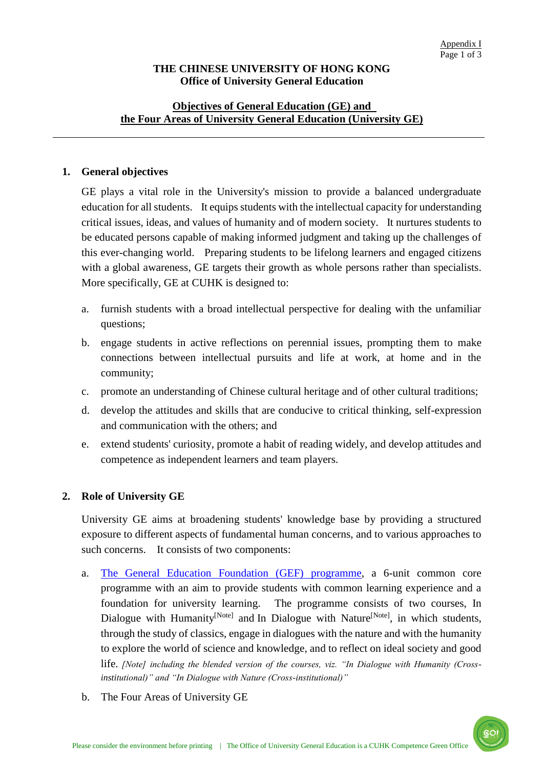# **THE CHINESE UNIVERSITY OF HONG KONG Office of University General Education**

# <span id="page-3-0"></span>**Objectives of General Education (GE) and the Four Areas of University General Education (University GE)**

### **1. General objectives**

GE plays a vital role in the University's mission to provide a balanced undergraduate education for all students. It equips students with the intellectual capacity for understanding critical issues, ideas, and values of humanity and of modern society. It nurtures students to be educated persons capable of making informed judgment and taking up the challenges of this ever-changing world. Preparing students to be lifelong learners and engaged citizens with a global awareness, GE targets their growth as whole persons rather than specialists. More specifically, GE at CUHK is designed to:

- a. furnish students with a broad intellectual perspective for dealing with the unfamiliar questions;
- b. engage students in active reflections on perennial issues, prompting them to make connections between intellectual pursuits and life at work, at home and in the community;
- c. promote an understanding of Chinese cultural heritage and of other cultural traditions;
- d. develop the attitudes and skills that are conducive to critical thinking, self-expression and communication with the others; and
- e. extend students' curiosity, promote a habit of reading widely, and develop attitudes and competence as independent learners and team players.

# **2. Role of University GE**

University GE aims at broadening students' knowledge base by providing a structured exposure to different aspects of fundamental human concerns, and to various approaches to such concerns. It consists of two components:

- a. [The General Education Foundation \(GEF\) programme,](http://www.oge.cuhk.edu.hk/index.php/en/programme/university-general-education/general-education-foundation) a 6-unit common core programme with an aim to provide students with common learning experience and a foundation for university learning. The programme consists of two courses, In Dialogue with Humanity<sup>[Note]</sup> and In Dialogue with Nature<sup>[Note]</sup>, in which students, through the study of classics, engage in dialogues with the nature and with the humanity to explore the world of science and knowledge, and to reflect on ideal society and good life. *[Note] including the blended version of the courses, viz. "In Dialogue with Humanity (Crossinstitutional)" and "In Dialogue with Nature (Cross-institutional)"*
- b. The Four Areas of University GE

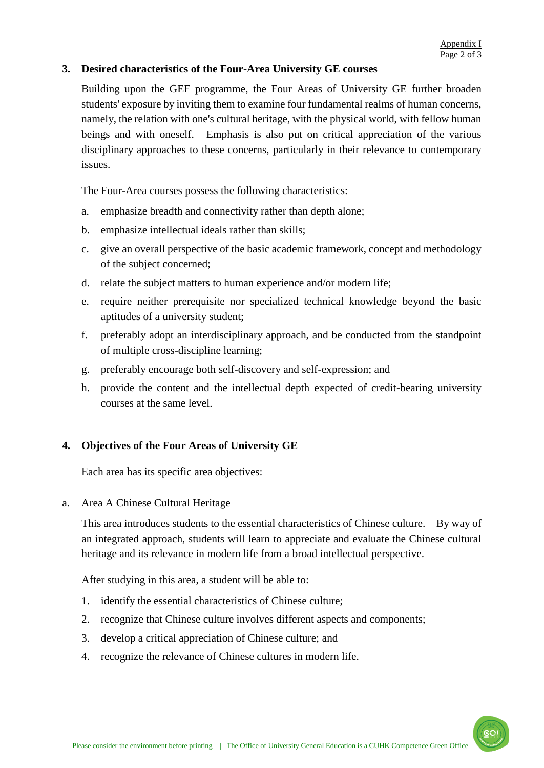# **3. Desired characteristics of the Four-Area University GE courses**

Building upon the GEF programme, the Four Areas of University GE further broaden students' exposure by inviting them to examine four fundamental realms of human concerns, namely, the relation with one's cultural heritage, with the physical world, with fellow human beings and with oneself. Emphasis is also put on critical appreciation of the various disciplinary approaches to these concerns, particularly in their relevance to contemporary issues.

The Four-Area courses possess the following characteristics:

- a. emphasize breadth and connectivity rather than depth alone;
- b. emphasize intellectual ideals rather than skills;
- c. give an overall perspective of the basic academic framework, concept and methodology of the subject concerned;
- d. relate the subject matters to human experience and/or modern life;
- e. require neither prerequisite nor specialized technical knowledge beyond the basic aptitudes of a university student;
- f. preferably adopt an interdisciplinary approach, and be conducted from the standpoint of multiple cross-discipline learning;
- g. preferably encourage both self-discovery and self-expression; and
- h. provide the content and the intellectual depth expected of credit-bearing university courses at the same level.

# **4. Objectives of the Four Areas of University GE**

Each area has its specific area objectives:

#### a. Area A Chinese Cultural Heritage

This area introduces students to the essential characteristics of Chinese culture. By way of an integrated approach, students will learn to appreciate and evaluate the Chinese cultural heritage and its relevance in modern life from a broad intellectual perspective.

After studying in this area, a student will be able to:

- 1. identify the essential characteristics of Chinese culture;
- 2. recognize that Chinese culture involves different aspects and components;
- 3. develop a critical appreciation of Chinese culture; and
- 4. recognize the relevance of Chinese cultures in modern life.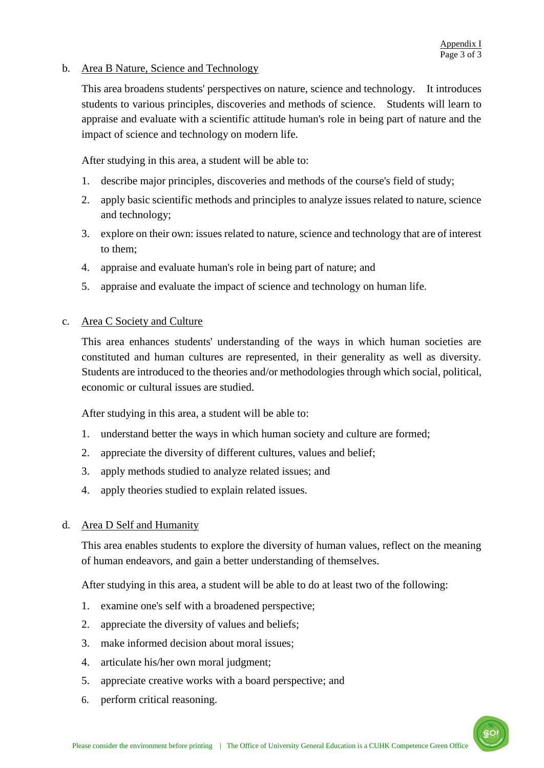# b. Area B Nature, Science and Technology

This area broadens students' perspectives on nature, science and technology. It introduces students to various principles, discoveries and methods of science. Students will learn to appraise and evaluate with a scientific attitude human's role in being part of nature and the impact of science and technology on modern life.

After studying in this area, a student will be able to:

- 1. describe major principles, discoveries and methods of the course's field of study;
- 2. apply basic scientific methods and principles to analyze issues related to nature, science and technology;
- 3. explore on their own: issues related to nature, science and technology that are of interest to them;
- 4. appraise and evaluate human's role in being part of nature; and
- 5. appraise and evaluate the impact of science and technology on human life.

# c. Area C Society and Culture

This area enhances students' understanding of the ways in which human societies are constituted and human cultures are represented, in their generality as well as diversity. Students are introduced to the theories and/or methodologies through which social, political, economic or cultural issues are studied.

After studying in this area, a student will be able to:

- 1. understand better the ways in which human society and culture are formed;
- 2. appreciate the diversity of different cultures, values and belief;
- 3. apply methods studied to analyze related issues; and
- 4. apply theories studied to explain related issues.

# d. Area D Self and Humanity

This area enables students to explore the diversity of human values, reflect on the meaning of human endeavors, and gain a better understanding of themselves.

After studying in this area, a student will be able to do at least two of the following:

- 1. examine one's self with a broadened perspective;
- 2. appreciate the diversity of values and beliefs;
- 3. make informed decision about moral issues;
- 4. articulate his/her own moral judgment;
- 5. appreciate creative works with a board perspective; and
- 6. perform critical reasoning.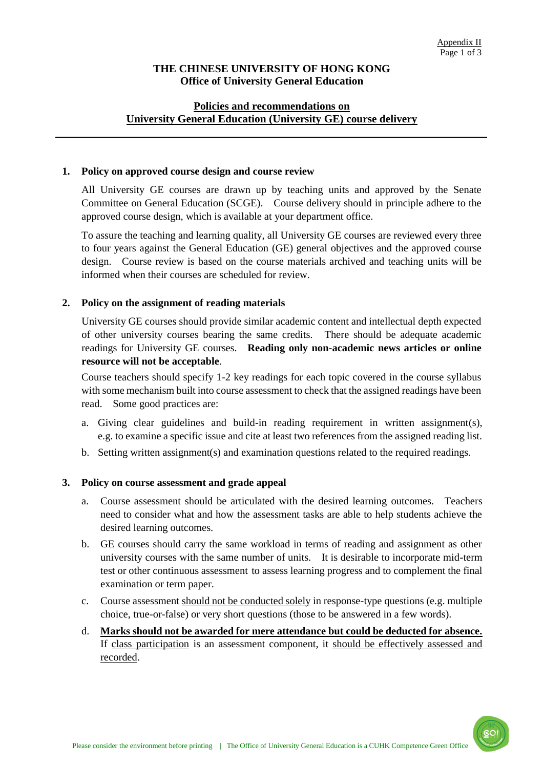### **THE CHINESE UNIVERSITY OF HONG KONG Office of University General Education**

# <span id="page-6-0"></span>**Policies and recommendations on University General Education (University GE) course delivery**

#### **1. Policy on approved course design and course review**

All University GE courses are drawn up by teaching units and approved by the Senate Committee on General Education (SCGE). Course delivery should in principle adhere to the approved course design, which is available at your department office.

To assure the teaching and learning quality, all University GE courses are reviewed every three to four years against the General Education (GE) general objectives and the approved course design. Course review is based on the course materials archived and teaching units will be informed when their courses are scheduled for review.

#### **2. Policy on the assignment of reading materials**

University GE courses should provide similar academic content and intellectual depth expected of other university courses bearing the same credits. There should be adequate academic readings for University GE courses. **Reading only non-academic news articles or online resource will not be acceptable**.

Course teachers should specify 1-2 key readings for each topic covered in the course syllabus with some mechanism built into course assessment to check that the assigned readings have been read. Some good practices are:

- a. Giving clear guidelines and build-in reading requirement in written assignment(s), e.g. to examine a specific issue and cite at least two references from the assigned reading list.
- b. Setting written assignment(s) and examination questions related to the required readings.

#### **3. Policy on course assessment and grade appeal**

- a. Course assessment should be articulated with the desired learning outcomes. Teachers need to consider what and how the assessment tasks are able to help students achieve the desired learning outcomes.
- b. GE courses should carry the same workload in terms of reading and assignment as other university courses with the same number of units. It is desirable to incorporate mid-term test or other continuous assessment to assess learning progress and to complement the final examination or term paper.
- c. Course assessment should not be conducted solely in response-type questions (e.g. multiple choice, true-or-false) or very short questions (those to be answered in a few words).
- d. **Marks should not be awarded for mere attendance but could be deducted for absence.** If class participation is an assessment component, it should be effectively assessed and recorded.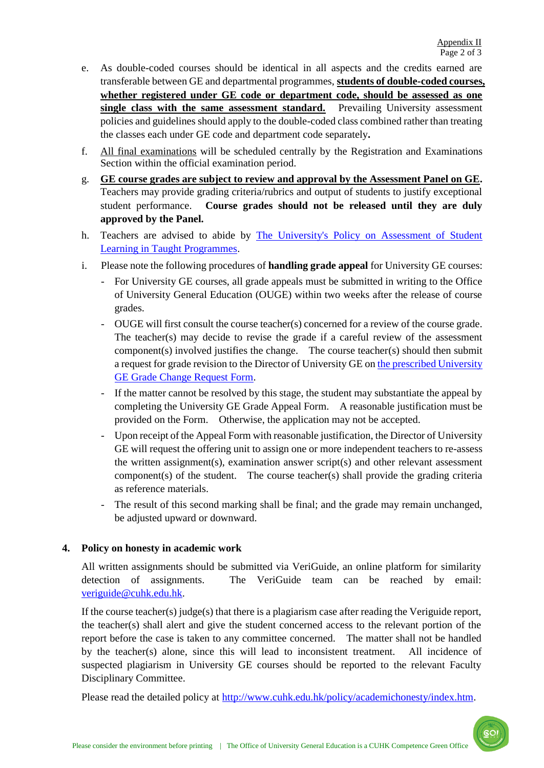- e. As double-coded courses should be identical in all aspects and the credits earned are transferable between GE and departmental programmes, **students of double-coded courses, whether registered under GE code or department code, should be assessed as one single class with the same assessment standard.** Prevailing University assessment policies and guidelines should apply to the double-coded class combined rather than treating the classes each under GE code and department code separately**.**
- f. All final examinations will be scheduled centrally by the Registration and Examinations Section within the official examination period.
- g. **GE course grades are subject to review and approval by the Assessment Panel on GE.**  Teachers may provide grading criteria/rubrics and output of students to justify exceptional student performance. **Course grades should not be released until they are duly approved by the Panel.**
- h. Teachers are advised to abide by [The University's Policy on Assessment of Student](http://www.cuhk.edu.hk/clear/qm/A5-1.pdf)  [Learning in Taught Programmes.](http://www.cuhk.edu.hk/clear/qm/A5-1.pdf)
- i. Please note the following procedures of **handling grade appeal** for University GE courses:
	- For University GE courses, all grade appeals must be submitted in writing to the Office of University General Education (OUGE) within two weeks after the release of course grades.
	- OUGE will first consult the course teacher(s) concerned for a review of the course grade. The teacher(s) may decide to revise the grade if a careful review of the assessment component(s) involved justifies the change. The course teacher(s) should then submit a request for grade revision to the Director of University GE o[n the prescribed University](http://www.oge.cuhk.edu.hk/oge_media/uge/OGE_Doc/forms_download_staff/GradeChangeForm_UGE.doc)  [GE Grade Change Request Form.](http://www.oge.cuhk.edu.hk/oge_media/uge/OGE_Doc/forms_download_staff/GradeChangeForm_UGE.doc)
	- If the matter cannot be resolved by this stage, the student may substantiate the appeal by completing the University GE Grade Appeal Form. A reasonable justification must be provided on the Form. Otherwise, the application may not be accepted.
	- Upon receipt of the Appeal Form with reasonable justification, the Director of University GE will request the offering unit to assign one or more independent teachers to re-assess the written assignment(s), examination answer script(s) and other relevant assessment component(s) of the student. The course teacher(s) shall provide the grading criteria as reference materials.
	- The result of this second marking shall be final; and the grade may remain unchanged, be adjusted upward or downward.

# **4. Policy on honesty in academic work**

All written assignments should be submitted via VeriGuide, an online platform for similarity detection of assignments. The VeriGuide team can be reached by email: [veriguide@cuhk.edu.hk.](mailto:veriguide@cuhk.edu.hk)

If the course teacher(s) judge(s) that there is a plagiarism case after reading the Veriguide report, the teacher(s) shall alert and give the student concerned access to the relevant portion of the report before the case is taken to any committee concerned. The matter shall not be handled by the teacher(s) alone, since this will lead to inconsistent treatment. All incidence of suspected plagiarism in University GE courses should be reported to the relevant Faculty Disciplinary Committee.

Please read the detailed policy at [http://www.cuhk.edu.hk/policy/academichonesty/index.htm.](http://www.cuhk.edu.hk/policy/academichonesty/index.htm)

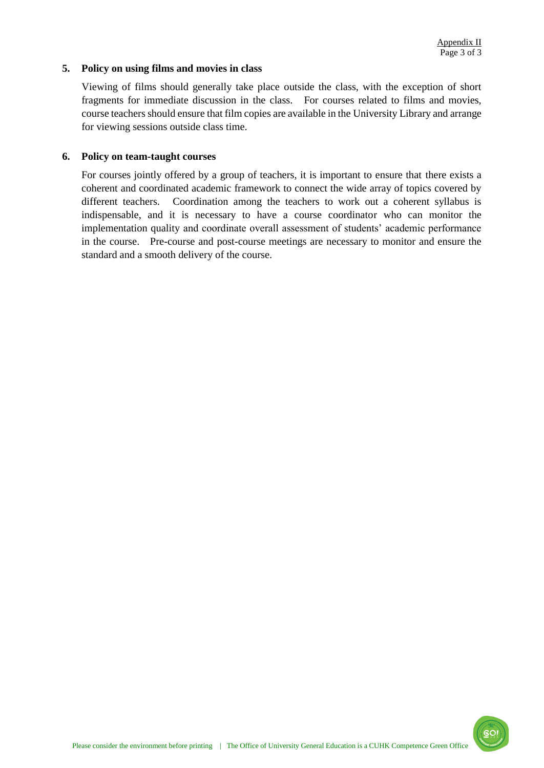### **5. Policy on using films and movies in class**

Viewing of films should generally take place outside the class, with the exception of short fragments for immediate discussion in the class. For courses related to films and movies, course teachers should ensure that film copies are available in the University Library and arrange for viewing sessions outside class time.

#### **6. Policy on team-taught courses**

For courses jointly offered by a group of teachers, it is important to ensure that there exists a coherent and coordinated academic framework to connect the wide array of topics covered by different teachers. Coordination among the teachers to work out a coherent syllabus is indispensable, and it is necessary to have a course coordinator who can monitor the implementation quality and coordinate overall assessment of students' academic performance in the course. Pre-course and post-course meetings are necessary to monitor and ensure the standard and a smooth delivery of the course.